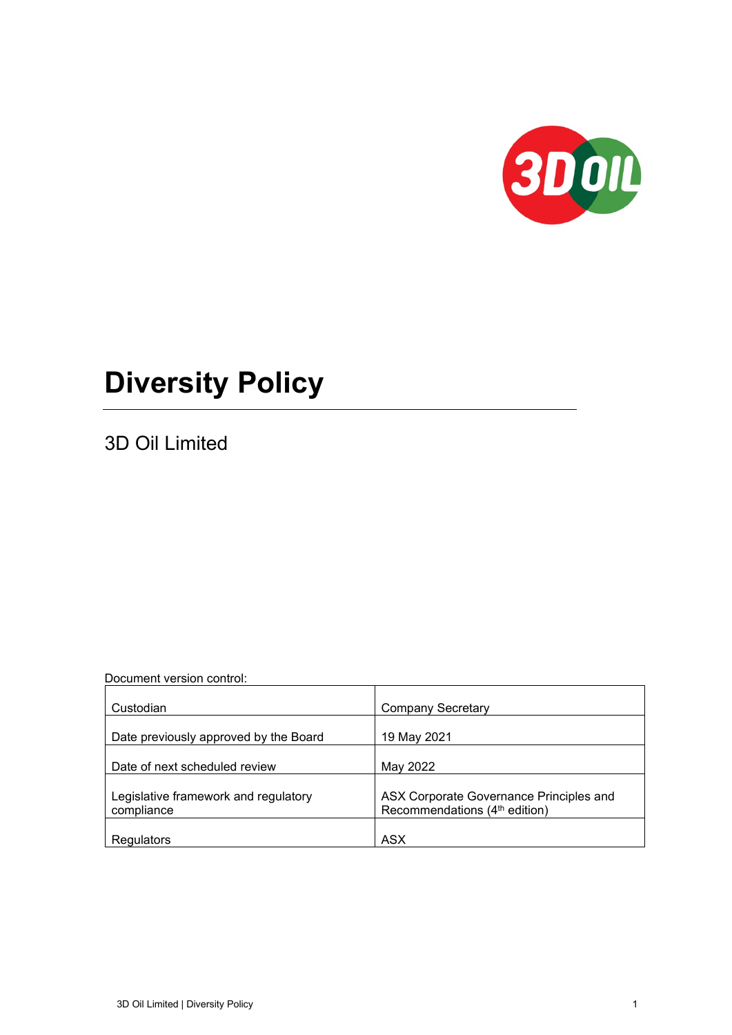

# **Diversity Policy**

3D Oil Limited

Document version control:

| Custodian                                          | <b>Company Secretary</b>                                                             |
|----------------------------------------------------|--------------------------------------------------------------------------------------|
| Date previously approved by the Board              | 19 May 2021                                                                          |
| Date of next scheduled review                      | May 2022                                                                             |
| Legislative framework and regulatory<br>compliance | ASX Corporate Governance Principles and<br>Recommendations (4 <sup>th</sup> edition) |
| Regulators                                         | ASX                                                                                  |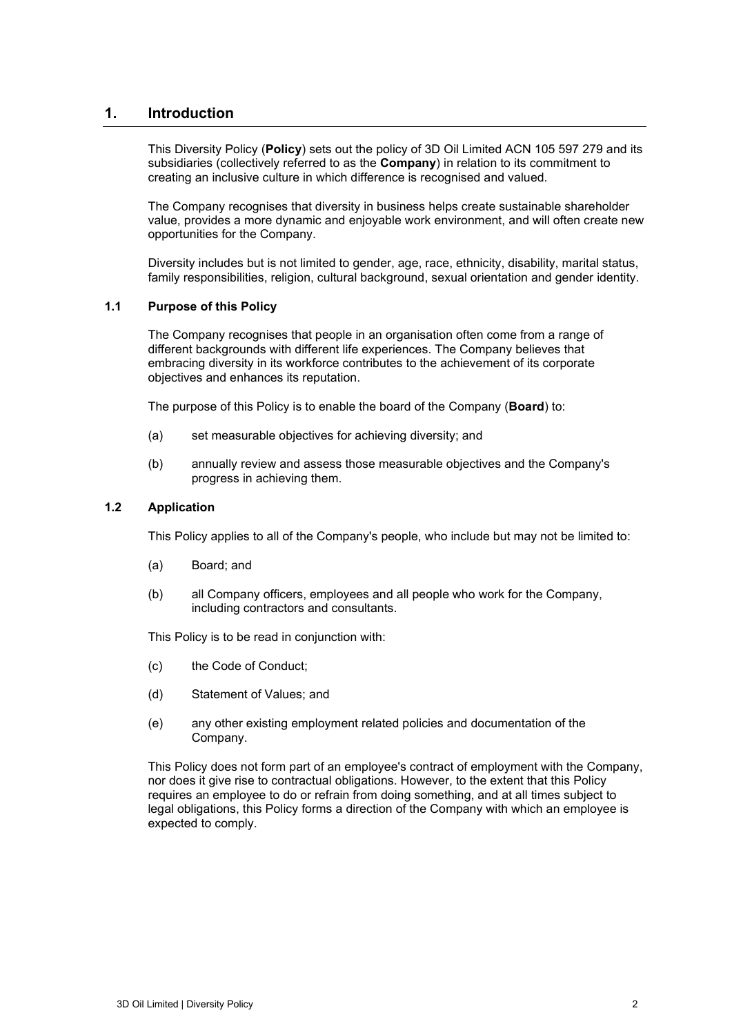## **1. Introduction**

This Diversity Policy (**Policy**) sets out the policy of 3D Oil Limited ACN 105 597 279 and its subsidiaries (collectively referred to as the **Company**) in relation to its commitment to creating an inclusive culture in which difference is recognised and valued.

The Company recognises that diversity in business helps create sustainable shareholder value, provides a more dynamic and enjoyable work environment, and will often create new opportunities for the Company.

Diversity includes but is not limited to gender, age, race, ethnicity, disability, marital status, family responsibilities, religion, cultural background, sexual orientation and gender identity.

#### **1.1 Purpose of this Policy**

The Company recognises that people in an organisation often come from a range of different backgrounds with different life experiences. The Company believes that embracing diversity in its workforce contributes to the achievement of its corporate objectives and enhances its reputation.

The purpose of this Policy is to enable the board of the Company (**Board**) to:

- (a) set measurable objectives for achieving diversity; and
- (b) annually review and assess those measurable objectives and the Company's progress in achieving them.

#### **1.2 Application**

This Policy applies to all of the Company's people, who include but may not be limited to:

- (a) Board; and
- (b) all Company officers, employees and all people who work for the Company, including contractors and consultants.

This Policy is to be read in conjunction with:

- (c) the Code of Conduct;
- (d) Statement of Values; and
- (e) any other existing employment related policies and documentation of the Company.

This Policy does not form part of an employee's contract of employment with the Company, nor does it give rise to contractual obligations. However, to the extent that this Policy requires an employee to do or refrain from doing something, and at all times subject to legal obligations, this Policy forms a direction of the Company with which an employee is expected to comply.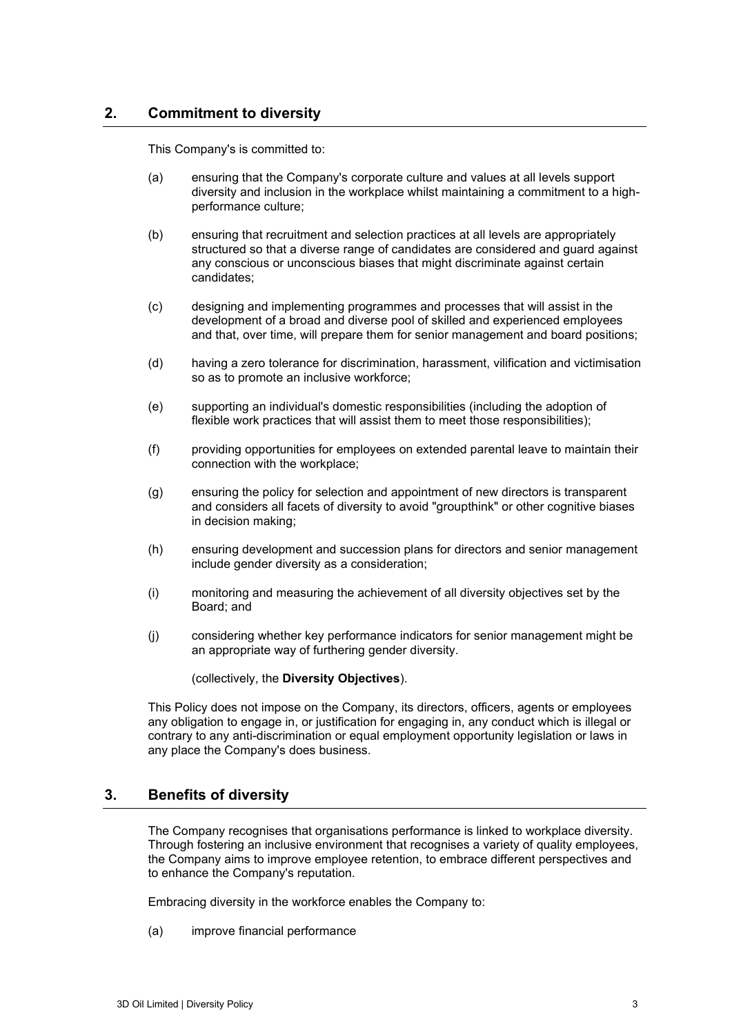## **2. Commitment to diversity**

This Company's is committed to:

- (a) ensuring that the Company's corporate culture and values at all levels support diversity and inclusion in the workplace whilst maintaining a commitment to a highperformance culture;
- (b) ensuring that recruitment and selection practices at all levels are appropriately structured so that a diverse range of candidates are considered and guard against any conscious or unconscious biases that might discriminate against certain candidates;
- (c) designing and implementing programmes and processes that will assist in the development of a broad and diverse pool of skilled and experienced employees and that, over time, will prepare them for senior management and board positions;
- (d) having a zero tolerance for discrimination, harassment, vilification and victimisation so as to promote an inclusive workforce;
- (e) supporting an individual's domestic responsibilities (including the adoption of flexible work practices that will assist them to meet those responsibilities);
- (f) providing opportunities for employees on extended parental leave to maintain their connection with the workplace;
- (g) ensuring the policy for selection and appointment of new directors is transparent and considers all facets of diversity to avoid "groupthink" or other cognitive biases in decision making;
- (h) ensuring development and succession plans for directors and senior management include gender diversity as a consideration;
- (i) monitoring and measuring the achievement of all diversity objectives set by the Board; and
- (j) considering whether key performance indicators for senior management might be an appropriate way of furthering gender diversity.

(collectively, the **Diversity Objectives**).

This Policy does not impose on the Company, its directors, officers, agents or employees any obligation to engage in, or justification for engaging in, any conduct which is illegal or contrary to any anti-discrimination or equal employment opportunity legislation or laws in any place the Company's does business.

# **3. Benefits of diversity**

The Company recognises that organisations performance is linked to workplace diversity. Through fostering an inclusive environment that recognises a variety of quality employees, the Company aims to improve employee retention, to embrace different perspectives and to enhance the Company's reputation.

Embracing diversity in the workforce enables the Company to:

(a) improve financial performance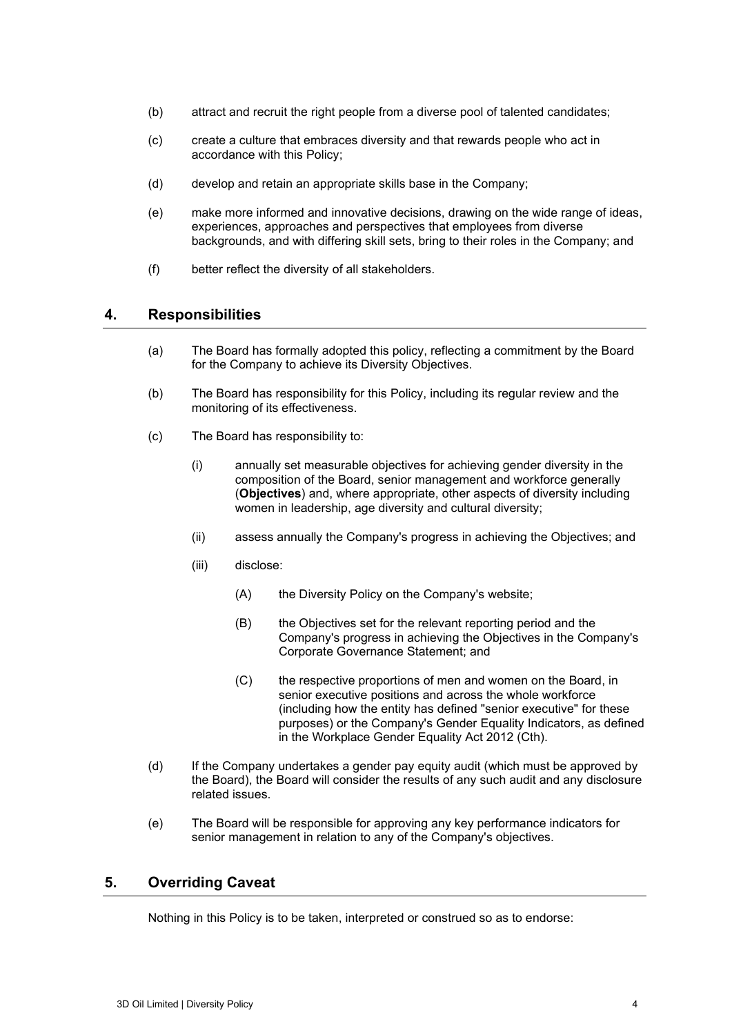- (b) attract and recruit the right people from a diverse pool of talented candidates;
- (c) create a culture that embraces diversity and that rewards people who act in accordance with this Policy;
- (d) develop and retain an appropriate skills base in the Company;
- (e) make more informed and innovative decisions, drawing on the wide range of ideas, experiences, approaches and perspectives that employees from diverse backgrounds, and with differing skill sets, bring to their roles in the Company; and
- (f) better reflect the diversity of all stakeholders.

#### **4. Responsibilities**

- (a) The Board has formally adopted this policy, reflecting a commitment by the Board for the Company to achieve its Diversity Objectives.
- (b) The Board has responsibility for this Policy, including its regular review and the monitoring of its effectiveness.
- (c) The Board has responsibility to:
	- (i) annually set measurable objectives for achieving gender diversity in the composition of the Board, senior management and workforce generally (**Objectives**) and, where appropriate, other aspects of diversity including women in leadership, age diversity and cultural diversity;
	- (ii) assess annually the Company's progress in achieving the Objectives; and
	- (iii) disclose:
		- (A) the Diversity Policy on the Company's website;
		- (B) the Objectives set for the relevant reporting period and the Company's progress in achieving the Objectives in the Company's Corporate Governance Statement; and
		- (C) the respective proportions of men and women on the Board, in senior executive positions and across the whole workforce (including how the entity has defined "senior executive" for these purposes) or the Company's Gender Equality Indicators, as defined in the Workplace Gender Equality Act 2012 (Cth).
- (d) If the Company undertakes a gender pay equity audit (which must be approved by the Board), the Board will consider the results of any such audit and any disclosure related issues.
- (e) The Board will be responsible for approving any key performance indicators for senior management in relation to any of the Company's objectives.

## **5. Overriding Caveat**

Nothing in this Policy is to be taken, interpreted or construed so as to endorse: